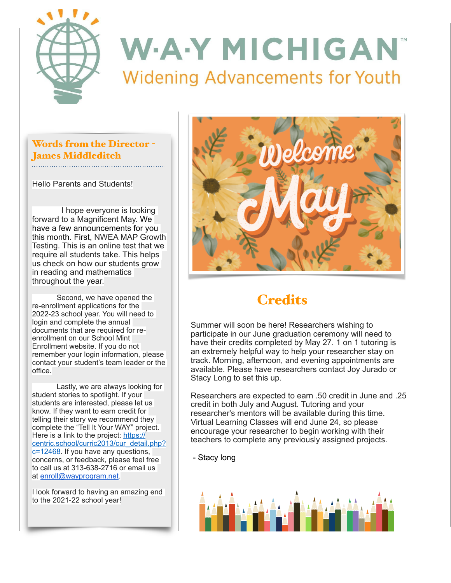

### Words from the Director - James Middleditch

Hello Parents and Students!

 I hope everyone is looking forward to a Magnificent May. We have a few announcements for you this month. First, NWEA MAP Growth Testing. This is an online test that we require all students take. This helps us check on how our students grow in reading and mathematics throughout the year.

 Second, we have opened the re-enrollment applications for the 2022-23 school year. You will need to login and complete the annual documents that are required for reenrollment on our School Mint Enrollment website. If you do not remember your login information, please contact your student's team leader or the office.

 Lastly, we are always looking for student stories to spotlight. If your students are interested, please let us know. If they want to earn credit for telling their story we recommend they complete the "Tell It Your WAY" project. Here is a link to the project: [https://](https://centric.school/curric2013/cur_detail.php?c=12468) [centric.school/curric2013/cur\\_detail.php?](https://centric.school/curric2013/cur_detail.php?c=12468) [c=12468](https://centric.school/curric2013/cur_detail.php?c=12468). If you have any questions, concerns, or feedback, please feel free to call us at 313-638-2716 or email us at [enroll@wayprogram.net](mailto:enroll@wayprogram.net).

I look forward to having an amazing end to the 2021-22 school year!



# **Credits**

Summer will soon be here! Researchers wishing to participate in our June graduation ceremony will need to have their credits completed by May 27. 1 on 1 tutoring is an extremely helpful way to help your researcher stay on track. Morning, afternoon, and evening appointments are available. Please have researchers contact Joy Jurado or Stacy Long to set this up.

Researchers are expected to earn .50 credit in June and .25 credit in both July and August. Tutoring and your researcher's mentors will be available during this time. Virtual Learning Classes will end June 24, so please encourage your researcher to begin working with their teachers to complete any previously assigned projects.

- Stacy long